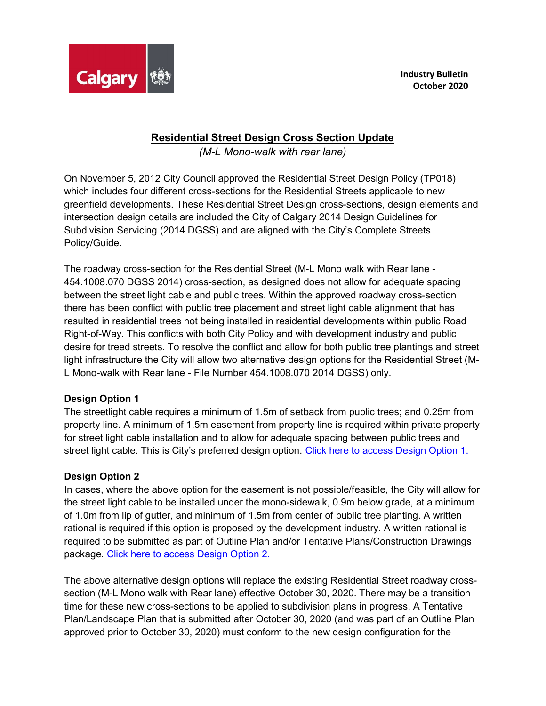

## Residential Street Design Cross Section Update

(M-L Mono-walk with rear lane)

On November 5, 2012 City Council approved the Residential Street Design Policy (TP018) which includes four different cross-sections for the Residential Streets applicable to new greenfield developments. These Residential Street Design cross-sections, design elements and intersection design details are included the City of Calgary 2014 Design Guidelines for Subdivision Servicing (2014 DGSS) and are aligned with the City's Complete Streets Policy/Guide.

The roadway cross-section for the Residential Street (M-L Mono walk with Rear lane - 454.1008.070 DGSS 2014) cross-section, as designed does not allow for adequate spacing between the street light cable and public trees. Within the approved roadway cross-section there has been conflict with public tree placement and street light cable alignment that has resulted in residential trees not being installed in residential developments within public Road Right-of-Way. This conflicts with both City Policy and with development industry and public desire for treed streets. To resolve the conflict and allow for both public tree plantings and street light infrastructure the City will allow two alternative design options for the Residential Street (M-L Mono-walk with Rear lane - File Number 454.1008.070 2014 DGSS) only.

## Design Option 1

The streetlight cable requires a minimum of 1.5m of setback from public trees; and 0.25m from property line. A minimum of 1.5m easement from property line is required within private property for street light cable installation and to allow for adequate spacing between public trees and street light cable. This is City's preferred design option. [Click here to access Design Option 1.](www.calgary.ca/content/dam/www/pda/pd/documents/urban-development/bulletins/residential-street-design-option-1.pdf)

## Design Option 2

In cases, where the above option for the easement is not possible/feasible, the City will allow for the street light cable to be installed under the mono-sidewalk, 0.9m below grade, at a minimum of 1.0m from lip of gutter, and minimum of 1.5m from center of public tree planting. A written rational is required if this option is proposed by the development industry. A written rational is required to be submitted as part of Outline Plan and/or Tentative Plans/Construction Drawings package. [Click here to access Design Option 2](www.calgary.ca/content/dam/www/pda/pd/documents/urban-development/bulletins/residential-street-design-option-2.pdf).

The above alternative design options will replace the existing Residential Street roadway crosssection (M-L Mono walk with Rear lane) effective October 30, 2020. There may be a transition time for these new cross-sections to be applied to subdivision plans in progress. A Tentative Plan/Landscape Plan that is submitted after October 30, 2020 (and was part of an Outline Plan approved prior to October 30, 2020) must conform to the new design configuration for the